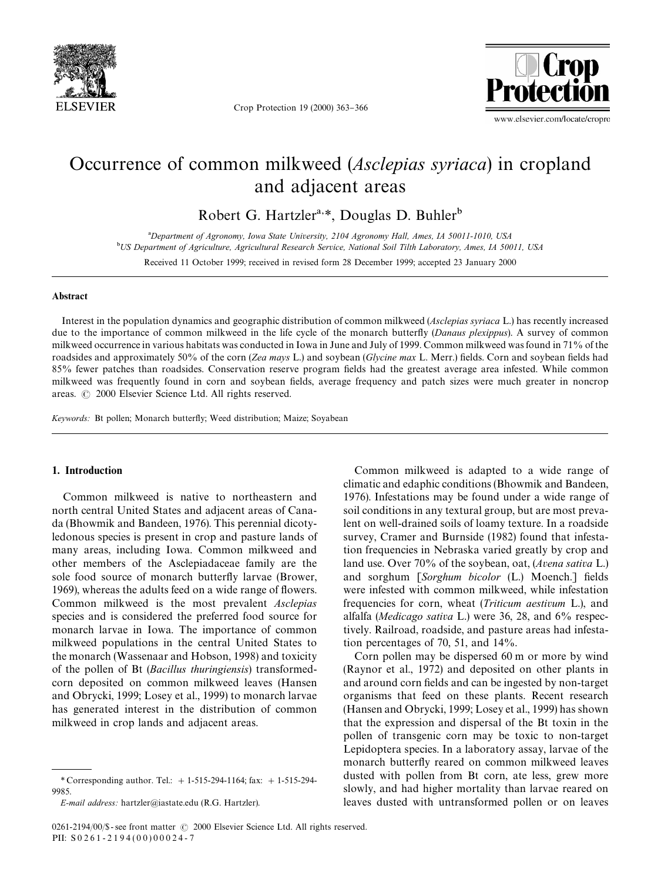

Crop Protection 19 (2000) 363-366



# Occurrence of common milkweed (*Asclepias syriaca*) in cropland and adjacent areas

Robert G. Hartzler<sup>a,\*</sup>, Douglas D. Buhler<sup>b</sup>

!*Department of Agronomy, Iowa State University, 2104 Agronomy Hall, Ames, IA 50011-1010, USA* "*US Department of Agriculture, Agricultural Research Service, National Soil Tilth Laboratory, Ames, IA 50011, USA*

Received 11 October 1999; received in revised form 28 December 1999; accepted 23 January 2000

#### Abstract

Interest in the population dynamics and geographic distribution of common milkweed (*Asclepias syriaca* L.) has recently increased due to the importance of common milkweed in the life cycle of the monarch butterfly (*Danaus plexippus*). A survey of common milkweed occurrence in various habitats was conducted in Iowa in June and July of 1999. Common milkweed was found in 71% of the roadsides and approximately 50% of the corn (*Zea mays* L.) and soybean (*Glycine max* L. Merr.) fields. Corn and soybean fields had 85% fewer patches than roadsides. Conservation reserve program fields had the greatest average area infested. While common milkweed was frequently found in corn and soybean fields, average frequency and patch sizes were much greater in noncrop areas.  $\odot$  2000 Elsevier Science Ltd. All rights reserved.

*Keywords:* Bt pollen; Monarch butterfly; Weed distribution; Maize; Soyabean

# 1. Introduction

Common milkweed is native to northeastern and north central United States and adjacent areas of Canada (Bhowmik and Bandeen, 1976). This perennial dicotyledonous species is present in crop and pasture lands of many areas, including Iowa. Common milkweed and other members of the Asclepiadaceae family are the sole food source of monarch butterfly larvae (Brower, 1969), whereas the adults feed on a wide range of flowers. Common milkweed is the most prevalent *Asclepias* species and is considered the preferred food source for monarch larvae in Iowa. The importance of common milkweed populations in the central United States to the monarch (Wassenaar and Hobson, 1998) and toxicity of the pollen of Bt (*Bacillus thuringiensis*) transformedcorn deposited on common milkweed leaves (Hansen and Obrycki, 1999; Losey et al., 1999) to monarch larvae has generated interest in the distribution of common milkweed in crop lands and adjacent areas.

Common milkweed is adapted to a wide range of climatic and edaphic conditions (Bhowmik and Bandeen, 1976). Infestations may be found under a wide range of soil conditions in any textural group, but are most prevalent on well-drained soils of loamy texture. In a roadside survey, Cramer and Burnside (1982) found that infestation frequencies in Nebraska varied greatly by crop and land use. Over 70% of the soybean, oat, (*Avena sativa* L.) and sorghum [*Sorghum bicolor* (L.) Moench.] fields were infested with common milkweed, while infestation frequencies for corn, wheat (*Triticum aestivum* L.), and alfalfa (*Medicago sativa* L.) were 36, 28, and 6% respectively. Railroad, roadside, and pasture areas had infestation percentages of 70, 51, and 14%.

Corn pollen may be dispersed 60 m or more by wind (Raynor et al., 1972) and deposited on other plants in and around corn fields and can be ingested by non-target organisms that feed on these plants. Recent research (Hansen and Obrycki, 1999; Losey et al., 1999) has shown that the expression and dispersal of the Bt toxin in the pollen of transgenic corn may be toxic to non-target Lepidoptera species. In a laboratory assay, larvae of the monarch butterfly reared on common milkweed leaves dusted with pollen from Bt corn, ate less, grew more slowly, and had higher mortality than larvae reared on leaves dusted with untransformed pollen or on leaves

*<sup>\*</sup>* Corresponding author. Tel.: #1-515-294-1164; fax: #1-515-294- 9985.

*E-mail address:* hartzler@iastate.edu (R.G. Hartzler).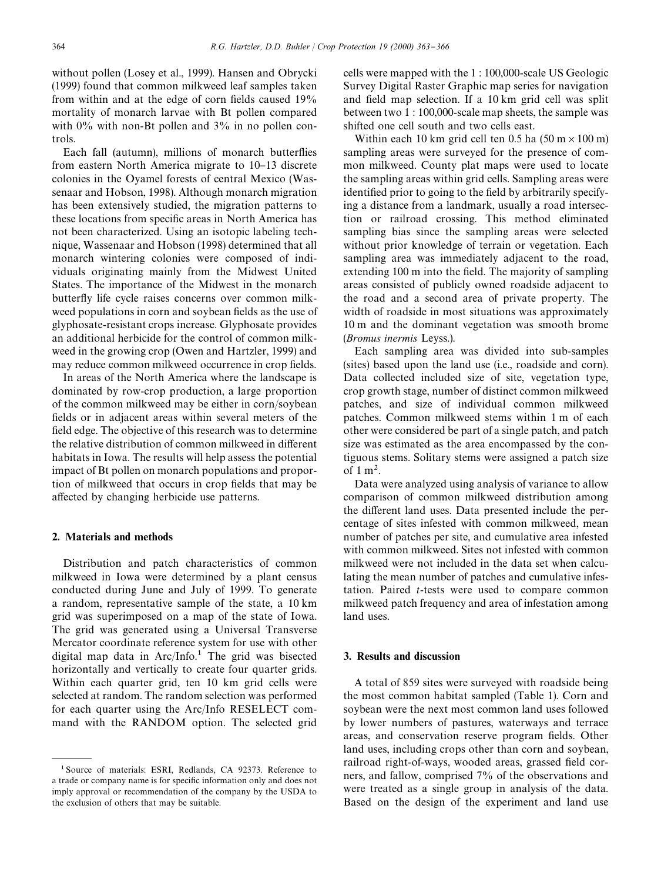without pollen (Losey et al., 1999). Hansen and Obrycki (1999) found that common milkweed leaf samples taken from within and at the edge of corn fields caused  $19\%$ mortality of monarch larvae with Bt pollen compared with  $0\%$  with non-Bt pollen and  $3\%$  in no pollen controls.

Each fall (autumn), millions of monarch butterflies from eastern North America migrate to 10–13 discrete colonies in the Oyamel forests of central Mexico (Wassenaar and Hobson, 1998). Although monarch migration has been extensively studied, the migration patterns to these locations from specific areas in North America has not been characterized. Using an isotopic labeling technique, Wassenaar and Hobson (1998) determined that all monarch wintering colonies were composed of individuals originating mainly from the Midwest United States. The importance of the Midwest in the monarch butterfly life cycle raises concerns over common milkweed populations in corn and soybean fields as the use of glyphosate-resistant crops increase. Glyphosate provides an additional herbicide for the control of common milkweed in the growing crop (Owen and Hartzler, 1999) and may reduce common milkweed occurrence in crop fields.

In areas of the North America where the landscape is dominated by row-crop production, a large proportion of the common milkweed may be either in corn/soybean fields or in adjacent areas within several meters of the field edge. The objective of this research was to determine the relative distribution of common milkweed in different habitats in Iowa. The results will help assess the potential impact of Bt pollen on monarch populations and proportion of milkweed that occurs in crop fields that may be affected by changing herbicide use patterns.

## 2. Materials and methods

Distribution and patch characteristics of common milkweed in Iowa were determined by a plant census conducted during June and July of 1999. To generate a random, representative sample of the state, a 10 km grid was superimposed on a map of the state of Iowa. The grid was generated using a Universal Transverse Mercator coordinate reference system for use with other digital map data in  $Arc/Info.<sup>1</sup>$  The grid was bisected horizontally and vertically to create four quarter grids. Within each quarter grid, ten 10 km grid cells were selected at random. The random selection was performed for each quarter using the Arc/Info RESELECT command with the RANDOM option. The selected grid

cells were mapped with the 1 : 100,000-scale US Geologic Survey Digital Raster Graphic map series for navigation and field map selection. If a 10 km grid cell was split between two 1 : 100,000-scale map sheets, the sample was shifted one cell south and two cells east.

Within each 10 km grid cell ten 0.5 ha  $(50 \text{ m} \times 100 \text{ m})$ sampling areas were surveyed for the presence of common milkweed. County plat maps were used to locate the sampling areas within grid cells. Sampling areas were identified prior to going to the field by arbitrarily specifying a distance from a landmark, usually a road intersection or railroad crossing. This method eliminated sampling bias since the sampling areas were selected without prior knowledge of terrain or vegetation. Each sampling area was immediately adjacent to the road, extending 100 m into the field. The majority of sampling areas consisted of publicly owned roadside adjacent to the road and a second area of private property. The width of roadside in most situations was approximately 10 m and the dominant vegetation was smooth brome (*Bromus inermis* Leyss.).

Each sampling area was divided into sub-samples (sites) based upon the land use (i.e., roadside and corn). Data collected included size of site, vegetation type, crop growth stage, number of distinct common milkweed patches, and size of individual common milkweed patches. Common milkweed stems within 1 m of each other were considered be part of a single patch, and patch size was estimated as the area encompassed by the contiguous stems. Solitary stems were assigned a patch size of  $1 \text{ m}^2$ .

Data were analyzed using analysis of variance to allow comparison of common milkweed distribution among the different land uses. Data presented include the percentage of sites infested with common milkweed, mean number of patches per site, and cumulative area infested with common milkweed. Sites not infested with common milkweed were not included in the data set when calculating the mean number of patches and cumulative infestation. Paired *t*-tests were used to compare common milkweed patch frequency and area of infestation among land uses.

## 3. Results and discussion

A total of 859 sites were surveyed with roadside being the most common habitat sampled (Table 1). Corn and soybean were the next most common land uses followed by lower numbers of pastures, waterways and terrace areas, and conservation reserve program fields. Other land uses, including crops other than corn and soybean, railroad right-of-ways, wooded areas, grassed field corners, and fallow, comprised 7% of the observations and were treated as a single group in analysis of the data. Based on the design of the experiment and land use

<sup>&</sup>lt;sup>1</sup> Source of materials: ESRI, Redlands, CA 92373. Reference to a trade or company name is for specific information only and does not imply approval or recommendation of the company by the USDA to the exclusion of others that may be suitable.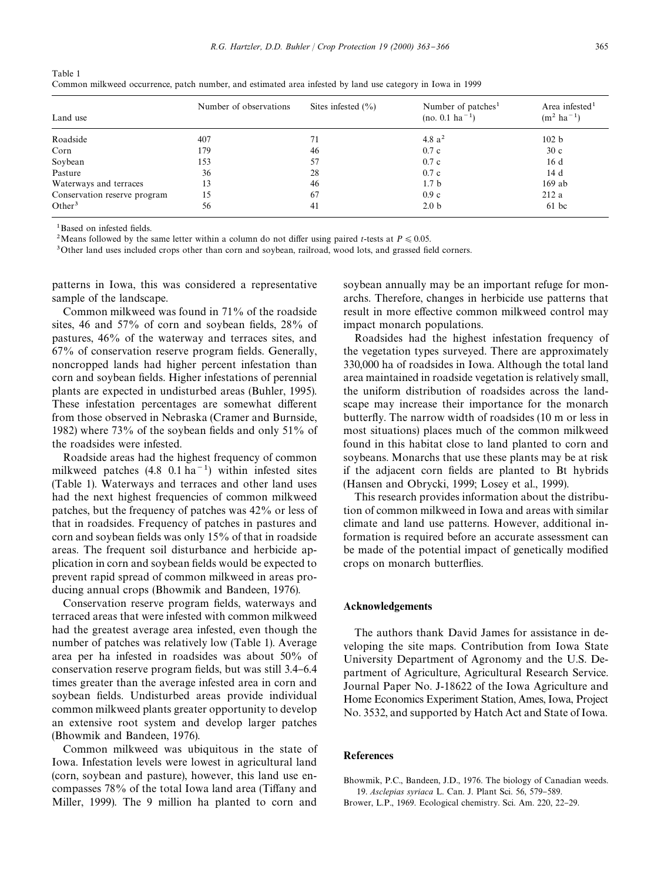| Table 1                                                                                                    |  |
|------------------------------------------------------------------------------------------------------------|--|
| Common milkweed occurrence, patch number, and estimated area infested by land use category in Iowa in 1999 |  |

| Land use                     | Number of observations | Sites infested $(\% )$ | Number of patches <sup>1</sup><br>$(no. 0.1 ha^{-1})$ | Area infested <sup>1</sup><br>$(m^2 \text{ ha}^{-1})$ |
|------------------------------|------------------------|------------------------|-------------------------------------------------------|-------------------------------------------------------|
| Roadside                     | 407                    |                        | 4.8 $a^2$                                             | 102 b                                                 |
| Corn                         | 179                    | 46                     | 0.7c                                                  | 30c                                                   |
| Soybean                      | 153                    | 57                     | 0.7c                                                  | 16 d                                                  |
| Pasture                      | 36                     | 28                     | 0.7c                                                  | 14 d                                                  |
| Waterways and terraces       | 13                     | 46                     | 1.7 <sub>b</sub>                                      | $169$ ab                                              |
| Conservation reserve program | 15                     | 67                     | 0.9c                                                  | 212a                                                  |
| Other <sup>3</sup>           | 56                     | 41                     | 2.0 <sub>b</sub>                                      | $61$ bc                                               |

 $1$ Based on infested fields.

<sup>2</sup>Means followed by the same letter within a column do not differ using paired *t*-tests at  $P \le 0.05$ .

<sup>3</sup>Other land uses included crops other than corn and soybean, railroad, wood lots, and grassed field corners.

patterns in Iowa, this was considered a representative sample of the landscape.

Common milkweed was found in 71% of the roadside sites, 46 and  $57\%$  of corn and soybean fields,  $28\%$  of pastures, 46% of the waterway and terraces sites, and  $67\%$  of conservation reserve program fields. Generally, noncropped lands had higher percent infestation than corn and soybean fields. Higher infestations of perennial plants are expected in undisturbed areas (Buhler, 1995). These infestation percentages are somewhat different from those observed in Nebraska (Cramer and Burnside, 1982) where  $73\%$  of the soybean fields and only  $51\%$  of the roadsides were infested.

Roadside areas had the highest frequency of common milkweed patches  $(4.8 \t 0.1 ha^{-1})$  within infested sites (Table 1). Waterways and terraces and other land uses had the next highest frequencies of common milkweed patches, but the frequency of patches was 42% or less of that in roadsides. Frequency of patches in pastures and corn and soybean fields was only 15% of that in roadside areas. The frequent soil disturbance and herbicide application in corn and soybean fields would be expected to prevent rapid spread of common milkweed in areas producing annual crops (Bhowmik and Bandeen, 1976).

Conservation reserve program fields, waterways and terraced areas that were infested with common milkweed had the greatest average area infested, even though the number of patches was relatively low (Table 1). Average area per ha infested in roadsides was about 50% of conservation reserve program fields, but was still 3.4–6.4 times greater than the average infested area in corn and soybean fields. Undisturbed areas provide individual common milkweed plants greater opportunity to develop an extensive root system and develop larger patches (Bhowmik and Bandeen, 1976).

Common milkweed was ubiquitous in the state of Iowa. Infestation levels were lowest in agricultural land (corn, soybean and pasture), however, this land use encompasses  $78\%$  of the total Iowa land area (Tiffany and Miller, 1999). The 9 million ha planted to corn and

soybean annually may be an important refuge for monarchs. Therefore, changes in herbicide use patterns that result in more effective common milkweed control may impact monarch populations.

Roadsides had the highest infestation frequency of the vegetation types surveyed. There are approximately 330,000 ha of roadsides in Iowa. Although the total land area maintained in roadside vegetation is relatively small, the uniform distribution of roadsides across the landscape may increase their importance for the monarch butterfly. The narrow width of roadsides (10 m or less in most situations) places much of the common milkweed found in this habitat close to land planted to corn and soybeans. Monarchs that use these plants may be at risk if the adjacent corn fields are planted to Bt hybrids (Hansen and Obrycki, 1999; Losey et al., 1999).

This research provides information about the distribution of common milkweed in Iowa and areas with similar climate and land use patterns. However, additional information is required before an accurate assessment can be made of the potential impact of genetically modified crops on monarch butterflies.

### Acknowledgements

The authors thank David James for assistance in developing the site maps. Contribution from Iowa State University Department of Agronomy and the U.S. Department of Agriculture, Agricultural Research Service. Journal Paper No. J-18622 of the Iowa Agriculture and Home Economics Experiment Station, Ames, Iowa, Project No. 3532, and supported by Hatch Act and State of Iowa.

#### References

Bhowmik, P.C., Bandeen, J.D., 1976. The biology of Canadian weeds. 19. *Asclepias syriaca* L. Can. J. Plant Sci. 56, 579-589.

Brower, L.P., 1969. Ecological chemistry. Sci. Am. 220, 22-29.